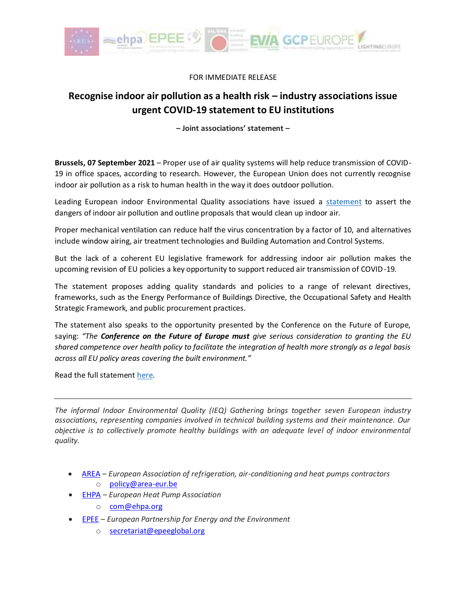

FOR IMMEDIATE RELEASE

## **Recognise indoor air pollution as a health risk – industry associations issue urgent COVID-19 statement to EU institutions**

**– Joint associations' statement –**

**Brussels, 07 September 2021** – Proper use of air quality systems will help reduce transmission of COVID-19 in office spaces, according to research. However, the European Union does not currently recognise indoor air pollution as a risk to human health in the way it does outdoor pollution.

Leading European indoor Environmental Quality associations have issued a [statement](https://www.evia.eu/wp-content/uploads/IEQ-Gathering-COVID-19-Joint-statement-September-2021-PDF.pdf) to assert the dangers of indoor air pollution and outline proposals that would clean up indoor air.

Proper mechanical ventilation can reduce half the virus concentration by a factor of 10, and alternatives include window airing, air treatment technologies and Building Automation and Control Systems.

But the lack of a coherent EU legislative framework for addressing indoor air pollution makes the upcoming revision of EU policies a key opportunity to support reduced air transmission of COVID-19.

The statement proposes adding quality standards and policies to a range of relevant directives, frameworks, such as the Energy Performance of Buildings Directive, the Occupational Safety and Health Strategic Framework, and public procurement practices.

The statement also speaks to the opportunity presented by the Conference on the Future of Europe, saying: *"The Conference on the Future of Europe must give serious consideration to granting the EU shared competence over health policy to facilitate the integration of health more strongly as a legal basis across all EU policy areas covering the built environment."*

Read the full statemen[t here.](https://www.evia.eu/wp-content/uploads/IEQ-Gathering-COVID-19-Joint-statement-September-2021-PDF.pdf)

*The informal Indoor Environmental Quality (IEQ) Gathering brings together seven European industry associations, representing companies involved in technical building systems and their maintenance. Our objective is to collectively promote healthy buildings with an adequate level of indoor environmental quality.* 

- [AREA](http://www.area-eur.be/) *European Association of refrigeration, air-conditioning and heat pumps contractors*
	- o [policy@area-eur.be](mailto:policy@area-eur.be)
- [EHPA](https://www.ehpa.org/) *– European Heat Pump Association* 
	- o [com@ehpa.org](mailto:com@ehpa.org)
- [EPEE](https://www.epeeglobal.org/) *European Partnership for Energy and the Environment*
	- o [secretariat@epeeglobal.org](mailto:secretariat@epeeglobal.org)